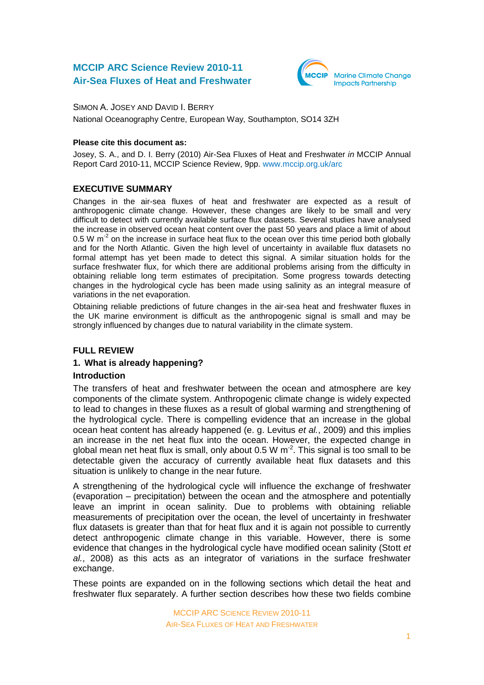# **MCCIP ARC Science Review 2010-11 Air-Sea Fluxes of Heat and Freshwater**



SIMON A. JOSEY AND DAVID I. BERRY

National Oceanography Centre, European Way, Southampton, SO14 3ZH

### **Please cite this document as:**

Josey, S. A., and D. I. Berry (2010) Air-Sea Fluxes of Heat and Freshwater *in* MCCIP Annual Report Card 2010-11, MCCIP Science Review, 9pp. [www.mccip.org.uk/arc](http://www.mccip.org.uk/arc)

# **EXECUTIVE SUMMARY**

Changes in the air-sea fluxes of heat and freshwater are expected as a result of anthropogenic climate change. However, these changes are likely to be small and very difficult to detect with currently available surface flux datasets. Several studies have analysed the increase in observed ocean heat content over the past 50 years and place a limit of about 0.5 W m<sup>-2</sup> on the increase in surface heat flux to the ocean over this time period both globally and for the North Atlantic. Given the high level of uncertainty in available flux datasets no formal attempt has yet been made to detect this signal. A similar situation holds for the surface freshwater flux, for which there are additional problems arising from the difficulty in obtaining reliable long term estimates of precipitation. Some progress towards detecting changes in the hydrological cycle has been made using salinity as an integral measure of variations in the net evaporation.

Obtaining reliable predictions of future changes in the air-sea heat and freshwater fluxes in the UK marine environment is difficult as the anthropogenic signal is small and may be strongly influenced by changes due to natural variability in the climate system.

## **FULL REVIEW**

## **1. What is already happening?**

## **Introduction**

The transfers of heat and freshwater between the ocean and atmosphere are key components of the climate system. Anthropogenic climate change is widely expected to lead to changes in these fluxes as a result of global warming and strengthening of the hydrological cycle. There is compelling evidence that an increase in the global ocean heat content has already happened (e. g. Levitus *et al.*, 2009) and this implies an increase in the net heat flux into the ocean. However, the expected change in global mean net heat flux is small, only about 0.5 W  $m<sup>2</sup>$ . This signal is too small to be detectable given the accuracy of currently available heat flux datasets and this situation is unlikely to change in the near future.

A strengthening of the hydrological cycle will influence the exchange of freshwater (evaporation – precipitation) between the ocean and the atmosphere and potentially leave an imprint in ocean salinity. Due to problems with obtaining reliable measurements of precipitation over the ocean, the level of uncertainty in freshwater flux datasets is greater than that for heat flux and it is again not possible to currently detect anthropogenic climate change in this variable. However, there is some evidence that changes in the hydrological cycle have modified ocean salinity (Stott *et al.*, 2008) as this acts as an integrator of variations in the surface freshwater exchange.

These points are expanded on in the following sections which detail the heat and freshwater flux separately. A further section describes how these two fields combine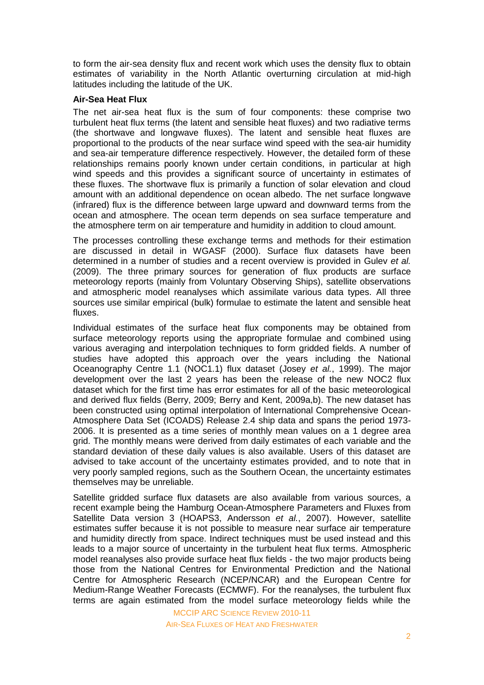to form the air-sea density flux and recent work which uses the density flux to obtain estimates of variability in the North Atlantic overturning circulation at mid-high latitudes including the latitude of the UK.

### **Air-Sea Heat Flux**

The net air-sea heat flux is the sum of four components: these comprise two turbulent heat flux terms (the latent and sensible heat fluxes) and two radiative terms (the shortwave and longwave fluxes). The latent and sensible heat fluxes are proportional to the products of the near surface wind speed with the sea-air humidity and sea-air temperature difference respectively. However, the detailed form of these relationships remains poorly known under certain conditions, in particular at high wind speeds and this provides a significant source of uncertainty in estimates of these fluxes. The shortwave flux is primarily a function of solar elevation and cloud amount with an additional dependence on ocean albedo. The net surface longwave (infrared) flux is the difference between large upward and downward terms from the ocean and atmosphere. The ocean term depends on sea surface temperature and the atmosphere term on air temperature and humidity in addition to cloud amount.

The processes controlling these exchange terms and methods for their estimation are discussed in detail in WGASF (2000). Surface flux datasets have been determined in a number of studies and a recent overview is provided in Gulev *et al.* (2009). The three primary sources for generation of flux products are surface meteorology reports (mainly from Voluntary Observing Ships), satellite observations and atmospheric model reanalyses which assimilate various data types. All three sources use similar empirical (bulk) formulae to estimate the latent and sensible heat fluxes.

Individual estimates of the surface heat flux components may be obtained from surface meteorology reports using the appropriate formulae and combined using various averaging and interpolation techniques to form gridded fields. A number of studies have adopted this approach over the years including the National Oceanography Centre 1.1 (NOC1.1) flux dataset (Josey *et al.*, 1999). The major development over the last 2 years has been the release of the new NOC2 flux dataset which for the first time has error estimates for all of the basic meteorological and derived flux fields (Berry, 2009; Berry and Kent, 2009a,b). The new dataset has been constructed using optimal interpolation of International Comprehensive Ocean-Atmosphere Data Set (ICOADS) Release 2.4 ship data and spans the period 1973- 2006. It is presented as a time series of monthly mean values on a 1 degree area grid. The monthly means were derived from daily estimates of each variable and the standard deviation of these daily values is also available. Users of this dataset are advised to take account of the uncertainty estimates provided, and to note that in very poorly sampled regions, such as the Southern Ocean, the uncertainty estimates themselves may be unreliable.

Satellite gridded surface flux datasets are also available from various sources, a recent example being the Hamburg Ocean-Atmosphere Parameters and Fluxes from Satellite Data version 3 (HOAPS3, Andersson *et al.*, 2007). However, satellite estimates suffer because it is not possible to measure near surface air temperature and humidity directly from space. Indirect techniques must be used instead and this leads to a major source of uncertainty in the turbulent heat flux terms. Atmospheric model reanalyses also provide surface heat flux fields - the two major products being those from the National Centres for Environmental Prediction and the National Centre for Atmospheric Research (NCEP/NCAR) and the European Centre for Medium-Range Weather Forecasts (ECMWF). For the reanalyses, the turbulent flux terms are again estimated from the model surface meteorology fields while the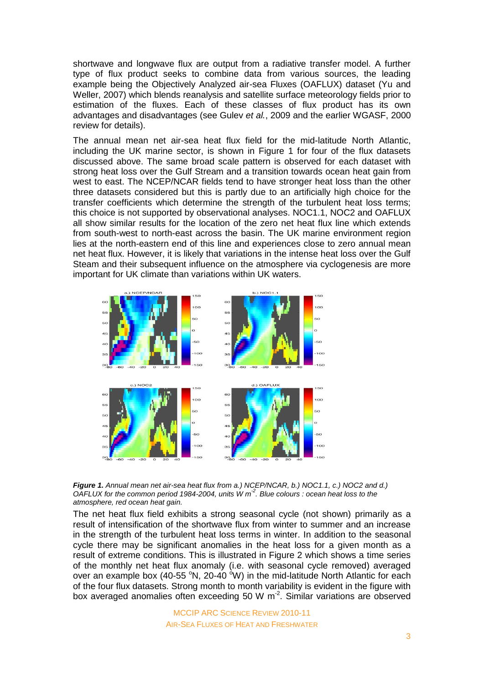shortwave and longwave flux are output from a radiative transfer model. A further type of flux product seeks to combine data from various sources, the leading example being the Objectively Analyzed air-sea Fluxes (OAFLUX) dataset (Yu and Weller, 2007) which blends reanalysis and satellite surface meteorology fields prior to estimation of the fluxes. Each of these classes of flux product has its own advantages and disadvantages (see Gulev *et al.*, 2009 and the earlier WGASF, 2000 review for details).

The annual mean net air-sea heat flux field for the mid-latitude North Atlantic, including the UK marine sector, is shown in Figure 1 for four of the flux datasets discussed above. The same broad scale pattern is observed for each dataset with strong heat loss over the Gulf Stream and a transition towards ocean heat gain from west to east. The NCEP/NCAR fields tend to have stronger heat loss than the other three datasets considered but this is partly due to an artificially high choice for the transfer coefficients which determine the strength of the turbulent heat loss terms; this choice is not supported by observational analyses. NOC1.1, NOC2 and OAFLUX all show similar results for the location of the zero net heat flux line which extends from south-west to north-east across the basin. The UK marine environment region lies at the north-eastern end of this line and experiences close to zero annual mean net heat flux. However, it is likely that variations in the intense heat loss over the Gulf Steam and their subsequent influence on the atmosphere via cyclogenesis are more important for UK climate than variations within UK waters.



*Figure 1. Annual mean net air-sea heat flux from a.) NCEP/NCAR, b.) NOC1.1, c.) NOC2 and d.) OAFLUX for the common period 1984-2004, units W m-2 . Blue colours : ocean heat loss to the atmosphere, red ocean heat gain.* 

The net heat flux field exhibits a strong seasonal cycle (not shown) primarily as a result of intensification of the shortwave flux from winter to summer and an increase in the strength of the turbulent heat loss terms in winter. In addition to the seasonal cycle there may be significant anomalies in the heat loss for a given month as a result of extreme conditions. This is illustrated in Figure 2 which shows a time series of the monthly net heat flux anomaly (i.e. with seasonal cycle removed) averaged over an example box (40-55  $\degree$ N, 20-40  $\degree$ W) in the mid-latitude North Atlantic for each of the four flux datasets. Strong month to month variability is evident in the figure with box averaged anomalies often exceeding 50 W  $m<sup>2</sup>$ . Similar variations are observed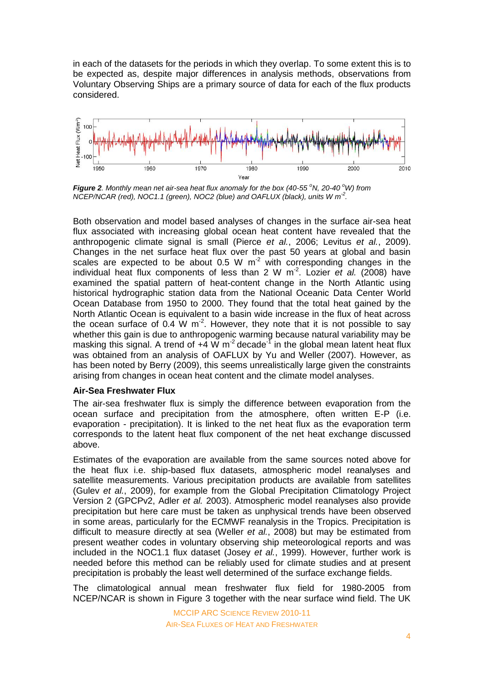in each of the datasets for the periods in which they overlap. To some extent this is to be expected as, despite major differences in analysis methods, observations from Voluntary Observing Ships are a primary source of data for each of the flux products considered.



*Figure 2. Monthly mean net air-sea heat flux anomaly for the box (40-55*  $\degree$ *N, 20-40*  $\degree$ *W) from NCEP/NCAR (red), NOC1.1 (green), NOC2 (blue) and OAFLUX (black), units W m-2 .* 

Both observation and model based analyses of changes in the surface air-sea heat flux associated with increasing global ocean heat content have revealed that the anthropogenic climate signal is small (Pierce *et al.*, 2006; Levitus *et al.*, 2009). Changes in the net surface heat flux over the past 50 years at global and basin scales are expected to be about 0.5 W  $m^2$  with corresponding changes in the individual heat flux components of less than 2 W m-2 . Lozier *et al.* (2008) have examined the spatial pattern of heat-content change in the North Atlantic using historical hydrographic station data from the National Oceanic Data Center World Ocean Database from 1950 to 2000. They found that the total heat gained by the North Atlantic Ocean is equivalent to a basin wide increase in the flux of heat across the ocean surface of 0.4 W m<sup>-2</sup>. However, they note that it is not possible to say whether this gain is due to anthropogenic warming because natural variability may be masking this signal. A trend of  $+4 \text{ W m}^2$  decade<sup>-1</sup> in the global mean latent heat flux was obtained from an analysis of OAFLUX by Yu and Weller (2007). However, as has been noted by Berry (2009), this seems unrealistically large given the constraints arising from changes in ocean heat content and the climate model analyses.

#### **Air-Sea Freshwater Flux**

The air-sea freshwater flux is simply the difference between evaporation from the ocean surface and precipitation from the atmosphere, often written E-P (i.e. evaporation - precipitation). It is linked to the net heat flux as the evaporation term corresponds to the latent heat flux component of the net heat exchange discussed above.

Estimates of the evaporation are available from the same sources noted above for the heat flux i.e. ship-based flux datasets, atmospheric model reanalyses and satellite measurements. Various precipitation products are available from satellites (Gulev *et al.*, 2009), for example from the Global Precipitation Climatology Project Version 2 (GPCPv2, Adler *et al.* 2003). Atmospheric model reanalyses also provide precipitation but here care must be taken as unphysical trends have been observed in some areas, particularly for the ECMWF reanalysis in the Tropics. Precipitation is difficult to measure directly at sea (Weller *et al.*, 2008) but may be estimated from present weather codes in voluntary observing ship meteorological reports and was included in the NOC1.1 flux dataset (Josey *et al.*, 1999). However, further work is needed before this method can be reliably used for climate studies and at present precipitation is probably the least well determined of the surface exchange fields.

The climatological annual mean freshwater flux field for 1980-2005 from NCEP/NCAR is shown in Figure 3 together with the near surface wind field. The UK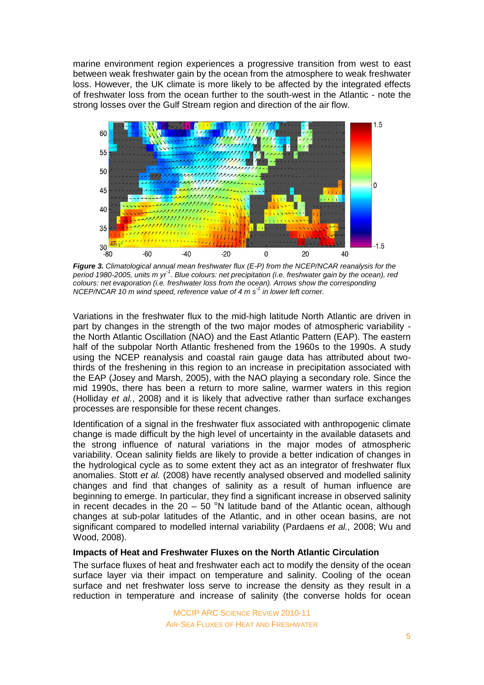marine environment region experiences a progressive transition from west to east between weak freshwater gain by the ocean from the atmosphere to weak freshwater loss. However, the UK climate is more likely to be affected by the integrated effects of freshwater loss from the ocean further to the south-west in the Atlantic - note the strong losses over the Gulf Stream region and direction of the air flow.



*Figure 3. Climatological annual mean freshwater flux (E-P) from the NCEP/NCAR reanalysis for the period 1980-2005, units m yr-1 . Blue colours: net precipitation (i.e. freshwater gain by the ocean), red colours: net evaporation (i.e. freshwater loss from the ocean). Arrows show the corresponding NCEP/NCAR 10 m wind speed, reference value of 4 m s-1 in lower left corner.*

Variations in the freshwater flux to the mid-high latitude North Atlantic are driven in part by changes in the strength of the two major modes of atmospheric variability the North Atlantic Oscillation (NAO) and the East Atlantic Pattern (EAP). The eastern half of the subpolar North Atlantic freshened from the 1960s to the 1990s. A study using the NCEP reanalysis and coastal rain gauge data has attributed about twothirds of the freshening in this region to an increase in precipitation associated with the EAP (Josey and Marsh, 2005), with the NAO playing a secondary role. Since the mid 1990s, there has been a return to more saline, warmer waters in this region (Holliday *et al.*, 2008) and it is likely that advective rather than surface exchanges processes are responsible for these recent changes.

Identification of a signal in the freshwater flux associated with anthropogenic climate change is made difficult by the high level of uncertainty in the available datasets and the strong influence of natural variations in the major modes of atmospheric variability. Ocean salinity fields are likely to provide a better indication of changes in the hydrological cycle as to some extent they act as an integrator of freshwater flux anomalies. Stott *et al.* (2008) have recently analysed observed and modelled salinity changes and find that changes of salinity as a result of human influence are beginning to emerge. In particular, they find a significant increase in observed salinity in recent decades in the  $20 - 50$  <sup>o</sup>N latitude band of the Atlantic ocean, although changes at sub-polar latitudes of the Atlantic, and in other ocean basins, are not significant compared to modelled internal variability (Pardaens *et al.,* 2008; Wu and Wood, 2008).

## **Impacts of Heat and Freshwater Fluxes on the North Atlantic Circulation**

The surface fluxes of heat and freshwater each act to modify the density of the ocean surface layer via their impact on temperature and salinity. Cooling of the ocean surface and net freshwater loss serve to increase the density as they result in a reduction in temperature and increase of salinity (the converse holds for ocean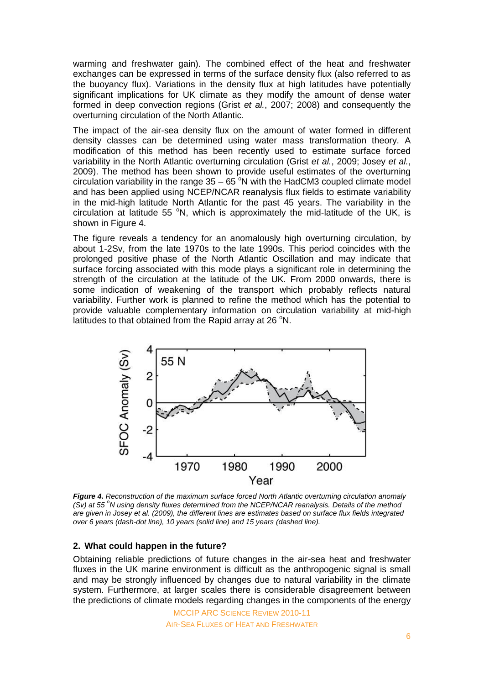warming and freshwater gain). The combined effect of the heat and freshwater exchanges can be expressed in terms of the surface density flux (also referred to as the buoyancy flux). Variations in the density flux at high latitudes have potentially significant implications for UK climate as they modify the amount of dense water formed in deep convection regions (Grist *et al.*, 2007; 2008) and consequently the overturning circulation of the North Atlantic.

The impact of the air-sea density flux on the amount of water formed in different density classes can be determined using water mass transformation theory. A modification of this method has been recently used to estimate surface forced variability in the North Atlantic overturning circulation (Grist *et al.*, 2009; Josey *et al.*, 2009). The method has been shown to provide useful estimates of the overturning circulation variability in the range  $35 - 65$  <sup>o</sup>N with the HadCM3 coupled climate model and has been applied using NCEP/NCAR reanalysis flux fields to estimate variability in the mid-high latitude North Atlantic for the past 45 years. The variability in the circulation at latitude 55  $\degree$ N, which is approximately the mid-latitude of the UK, is shown in Figure 4.

The figure reveals a tendency for an anomalously high overturning circulation, by about 1-2Sv, from the late 1970s to the late 1990s. This period coincides with the prolonged positive phase of the North Atlantic Oscillation and may indicate that surface forcing associated with this mode plays a significant role in determining the strength of the circulation at the latitude of the UK*.* From 2000 onwards, there is some indication of weakening of the transport which probably reflects natural variability. Further work is planned to refine the method which has the potential to provide valuable complementary information on circulation variability at mid-high latitudes to that obtained from the Rapid array at 26 °N.



*Figure 4. Reconstruction of the maximum surface forced North Atlantic overturning circulation anomaly (Sv) at 55 <sup>o</sup>N using density fluxes determined from the NCEP/NCAR reanalysis. Details of the method are given in Josey et al. (2009), the different lines are estimates based on surface flux fields integrated over 6 years (dash-dot line), 10 years (solid line) and 15 years (dashed line).*

#### **2. What could happen in the future?**

Obtaining reliable predictions of future changes in the air-sea heat and freshwater fluxes in the UK marine environment is difficult as the anthropogenic signal is small and may be strongly influenced by changes due to natural variability in the climate system. Furthermore, at larger scales there is considerable disagreement between the predictions of climate models regarding changes in the components of the energy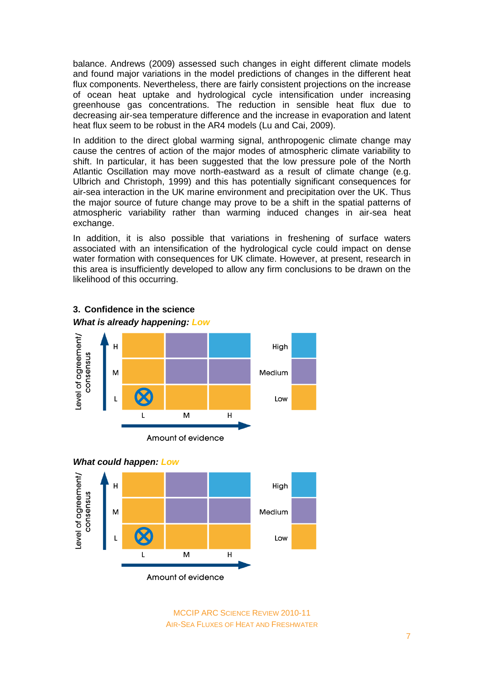balance. Andrews (2009) assessed such changes in eight different climate models and found major variations in the model predictions of changes in the different heat flux components. Nevertheless, there are fairly consistent projections on the increase of ocean heat uptake and hydrological cycle intensification under increasing greenhouse gas concentrations. The reduction in sensible heat flux due to decreasing air-sea temperature difference and the increase in evaporation and latent heat flux seem to be robust in the AR4 models (Lu and Cai, 2009).

In addition to the direct global warming signal, anthropogenic climate change may cause the centres of action of the major modes of atmospheric climate variability to shift. In particular, it has been suggested that the low pressure pole of the North Atlantic Oscillation may move north-eastward as a result of climate change (e.g. Ulbrich and Christoph, 1999) and this has potentially significant consequences for air-sea interaction in the UK marine environment and precipitation over the UK. Thus the major source of future change may prove to be a shift in the spatial patterns of atmospheric variability rather than warming induced changes in air-sea heat exchange.

In addition, it is also possible that variations in freshening of surface waters associated with an intensification of the hydrological cycle could impact on dense water formation with consequences for UK climate. However, at present, research in this area is insufficiently developed to allow any firm conclusions to be drawn on the likelihood of this occurring.



# **3. Confidence in the science**



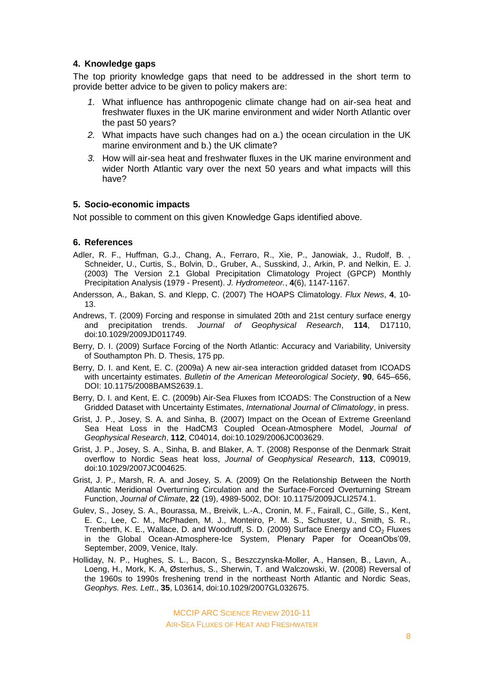## **4. Knowledge gaps**

The top priority knowledge gaps that need to be addressed in the short term to provide better advice to be given to policy makers are:

- *1.* What influence has anthropogenic climate change had on air-sea heat and freshwater fluxes in the UK marine environment and wider North Atlantic over the past 50 years?
- *2.* What impacts have such changes had on a.) the ocean circulation in the UK marine environment and b.) the UK climate?
- *3.* How will air-sea heat and freshwater fluxes in the UK marine environment and wider North Atlantic vary over the next 50 years and what impacts will this have?

#### **5. Socio-economic impacts**

Not possible to comment on this given Knowledge Gaps identified above.

#### **6. References**

- Adler, R. F., Huffman, G.J., Chang, A., Ferraro, R., Xie, P., Janowiak, J., Rudolf, B. , Schneider, U., Curtis, S., Bolvin, D., Gruber, A., Susskind, J., Arkin, P. and Nelkin, E. J. (2003) The Version 2.1 Global Precipitation Climatology Project (GPCP) Monthly Precipitation Analysis (1979 - Present). *J. Hydrometeor.*, **4**(6), 1147-1167.
- Andersson, A., Bakan, S. and Klepp, C. (2007) The HOAPS Climatology. *Flux News*, **4**, 10- 13.
- Andrews, T. (2009) Forcing and response in simulated 20th and 21st century surface energy and precipitation trends. *Journal of Geophysical Research*, **114**, D17110, doi:10.1029/2009JD011749.
- Berry, D. I. (2009) Surface Forcing of the North Atlantic: Accuracy and Variability, University of Southampton Ph. D. Thesis, 175 pp.
- Berry, D. I. and Kent, E. C. (2009a) A new air-sea interaction gridded dataset from ICOADS with uncertainty estimates. *Bulletin of the American Meteorological Society*, **90**, 645–656, DOI: 10.1175/2008BAMS2639.1.
- Berry, D. I. and Kent, E. C. (2009b) Air-Sea Fluxes from ICOADS: The Construction of a New Gridded Dataset with Uncertainty Estimates, *International Journal of Climatology*, in press.
- Grist, J. P., Josey, S. A. and Sinha, B. (2007) Impact on the Ocean of Extreme Greenland Sea Heat Loss in the HadCM3 Coupled Ocean-Atmosphere Model, *Journal of Geophysical Research*, **112**, C04014, doi:10.1029/2006JC003629.
- Grist, J. P., Josey, S. A., Sinha, B. and Blaker, A. T. (2008) Response of the Denmark Strait overflow to Nordic Seas heat loss, *Journal of Geophysical Research*, **113**, C09019, doi:10.1029/2007JC004625.
- Grist, J. P., Marsh, R. A. and Josey, S. A. (2009) On the Relationship Between the North Atlantic Meridional Overturning Circulation and the Surface-Forced Overturning Stream Function, *Journal of Climate*, **22** (19), 4989-5002, DOI: 10.1175/2009JCLI2574.1.
- Gulev, S., Josey, S. A., Bourassa, M., Breivik, L.-A., Cronin, M. F., Fairall, C., Gille, S., Kent, E. C., Lee, C. M., McPhaden, M. J., Monteiro, P. M. S., Schuster, U., Smith, S. R., Trenberth, K. E., Wallace, D. and Woodruff, S. D. (2009) Surface Energy and  $CO<sub>2</sub>$  Fluxes in the Global Ocean-Atmosphere-Ice System, Plenary Paper for OceanObs'09, September, 2009, Venice, Italy.
- Holliday, N. P., Hughes, S. L., Bacon, S., Beszczynska-Moller, A., Hansen, B., Lavın, A., Loeng, H., Mork, K. A, Østerhus, S., Sherwin, T. and Walczowski, W. (2008) Reversal of the 1960s to 1990s freshening trend in the northeast North Atlantic and Nordic Seas, *Geophys. Res. Lett*., **35**, L03614, doi:10.1029/2007GL032675.